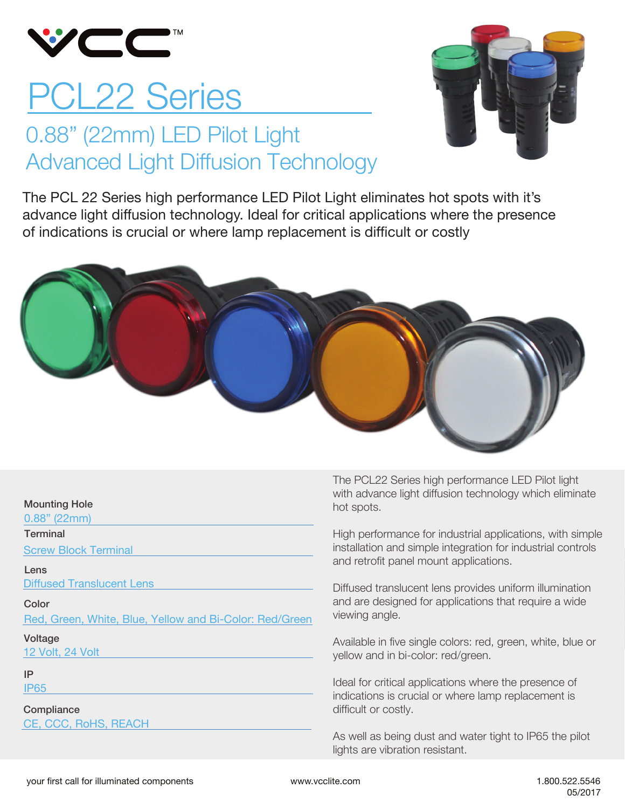

# PCL22 Series

### 0.88" (22mm) LED Pilot Light Advanced Light Diffusion Technology



The PCL 22 Series high performance LED Pilot Light eliminates hot spots with it's advance light diffusion technology. Ideal for critical applications where the presence of indications is crucial or where lamp replacement is difficult or costly



#### Mounting Hole

0.88" (22mm)

**Terminal** 

Screw Block Terminal

#### Lens

Diffused Translucent Lens

Color

Red, Green, White, Blue, Yellow and Bi-Color: Red/Green

#### Voltage

12 Volt, 24 Volt

### IP

IP65

**Compliance** 

CE, CCC, RoHS, REACH

The PCL22 Series high performance LED Pilot light with advance light diffusion technology which eliminate hot spots.

High performance for industrial applications, with simple installation and simple integration for industrial controls and retrofit panel mount applications.

Diffused translucent lens provides uniform illumination and are designed for applications that require a wide viewing angle.

Available in five single colors: red, green, white, blue or yellow and in bi-color: red/green.

Ideal for critical applications where the presence of indications is crucial or where lamp replacement is difficult or costly.

As well as being dust and water tight to IP65 the pilot lights are vibration resistant.